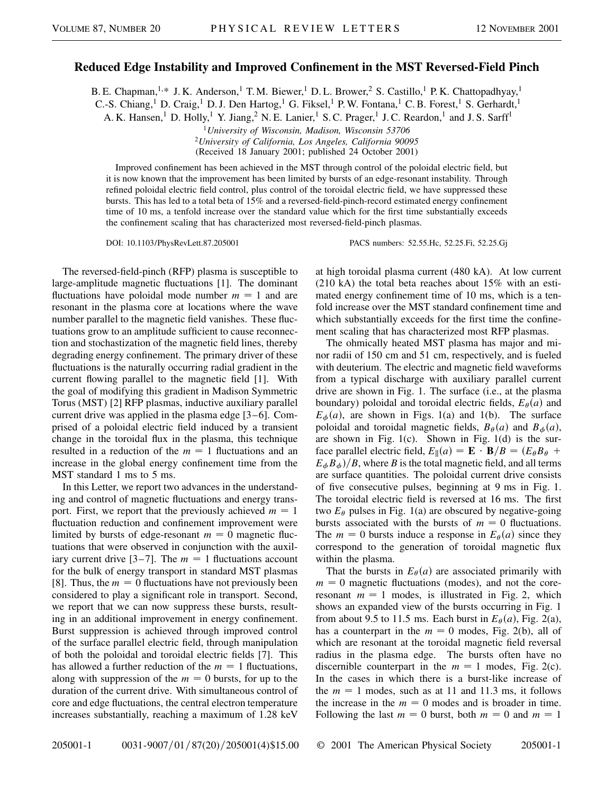## **Reduced Edge Instability and Improved Confinement in the MST Reversed-Field Pinch**

B. E. Chapman,<sup>1,\*</sup> J. K. Anderson,<sup>1</sup> T. M. Biewer,<sup>1</sup> D. L. Brower,<sup>2</sup> S. Castillo,<sup>1</sup> P. K. Chattopadhyay,<sup>1</sup>

C.-S. Chiang,<sup>1</sup> D. Craig,<sup>1</sup> D. J. Den Hartog,<sup>1</sup> G. Fiksel,<sup>1</sup> P. W. Fontana,<sup>1</sup> C. B. Forest,<sup>1</sup> S. Gerhardt,<sup>1</sup>

A. K. Hansen,<sup>1</sup> D. Holly,<sup>1</sup> Y. Jiang,<sup>2</sup> N. E. Lanier,<sup>1</sup> S. C. Prager,<sup>1</sup> J. C. Reardon,<sup>1</sup> and J. S. Sarff<sup>1</sup>

<sup>1</sup>*University of Wisconsin, Madison, Wisconsin 53706*

<sup>2</sup>*University of California, Los Angeles, California 90095*

(Received 18 January 2001; published 24 October 2001)

Improved confinement has been achieved in the MST through control of the poloidal electric field, but it is now known that the improvement has been limited by bursts of an edge-resonant instability. Through refined poloidal electric field control, plus control of the toroidal electric field, we have suppressed these bursts. This has led to a total beta of 15% and a reversed-field-pinch-record estimated energy confinement time of 10 ms, a tenfold increase over the standard value which for the first time substantially exceeds the confinement scaling that has characterized most reversed-field-pinch plasmas.

DOI: 10.1103/PhysRevLett.87.205001 PACS numbers: 52.55.Hc, 52.25.Fi, 52.25.Gj

The reversed-field-pinch (RFP) plasma is susceptible to large-amplitude magnetic fluctuations [1]. The dominant fluctuations have poloidal mode number  $m = 1$  and are resonant in the plasma core at locations where the wave number parallel to the magnetic field vanishes. These fluctuations grow to an amplitude sufficient to cause reconnection and stochastization of the magnetic field lines, thereby degrading energy confinement. The primary driver of these fluctuations is the naturally occurring radial gradient in the current flowing parallel to the magnetic field [1]. With the goal of modifying this gradient in Madison Symmetric Torus (MST) [2] RFP plasmas, inductive auxiliary parallel current drive was applied in the plasma edge [3–6]. Comprised of a poloidal electric field induced by a transient change in the toroidal flux in the plasma, this technique resulted in a reduction of the  $m = 1$  fluctuations and an increase in the global energy confinement time from the MST standard 1 ms to 5 ms.

In this Letter, we report two advances in the understanding and control of magnetic fluctuations and energy transport. First, we report that the previously achieved  $m = 1$ fluctuation reduction and confinement improvement were limited by bursts of edge-resonant  $m = 0$  magnetic fluctuations that were observed in conjunction with the auxiliary current drive [3–7]. The  $m = 1$  fluctuations account for the bulk of energy transport in standard MST plasmas [8]. Thus, the  $m = 0$  fluctuations have not previously been considered to play a significant role in transport. Second, we report that we can now suppress these bursts, resulting in an additional improvement in energy confinement. Burst suppression is achieved through improved control of the surface parallel electric field, through manipulation of both the poloidal and toroidal electric fields [7]. This has allowed a further reduction of the  $m = 1$  fluctuations, along with suppression of the  $m = 0$  bursts, for up to the duration of the current drive. With simultaneous control of core and edge fluctuations, the central electron temperature increases substantially, reaching a maximum of 1.28 keV at high toroidal plasma current (480 kA). At low current (210 kA) the total beta reaches about 15% with an estimated energy confinement time of 10 ms, which is a tenfold increase over the MST standard confinement time and which substantially exceeds for the first time the confinement scaling that has characterized most RFP plasmas.

The ohmically heated MST plasma has major and minor radii of 150 cm and 51 cm, respectively, and is fueled with deuterium. The electric and magnetic field waveforms from a typical discharge with auxiliary parallel current drive are shown in Fig. 1. The surface (i.e., at the plasma boundary) poloidal and toroidal electric fields,  $E_{\theta}(a)$  and  $E_{\phi}(a)$ , are shown in Figs. 1(a) and 1(b). The surface poloidal and toroidal magnetic fields,  $B_{\theta}(a)$  and  $B_{\phi}(a)$ , are shown in Fig. 1(c). Shown in Fig. 1(d) is the surface parallel electric field,  $E_{\parallel}(a) = \mathbf{E} \cdot \mathbf{B}/B = (E_{\theta}B_{\theta} + E_{\theta})$  $E_{\phi}B_{\phi}$ )/*B*, where *B* is the total magnetic field, and all terms are surface quantities. The poloidal current drive consists of five consecutive pulses, beginning at 9 ms in Fig. 1. The toroidal electric field is reversed at 16 ms. The first two  $E_{\theta}$  pulses in Fig. 1(a) are obscured by negative-going bursts associated with the bursts of  $m = 0$  fluctuations. The  $m = 0$  bursts induce a response in  $E_{\theta}(a)$  since they correspond to the generation of toroidal magnetic flux within the plasma.

That the bursts in  $E_{\theta}(a)$  are associated primarily with  $m = 0$  magnetic fluctuations (modes), and not the coreresonant  $m = 1$  modes, is illustrated in Fig. 2, which shows an expanded view of the bursts occurring in Fig. 1 from about 9.5 to 11.5 ms. Each burst in  $E_{\theta}(a)$ , Fig. 2(a), has a counterpart in the  $m = 0$  modes, Fig. 2(b), all of which are resonant at the toroidal magnetic field reversal radius in the plasma edge. The bursts often have no discernible counterpart in the  $m = 1$  modes, Fig. 2(c). In the cases in which there is a burst-like increase of the  $m = 1$  modes, such as at 11 and 11.3 ms, it follows the increase in the  $m = 0$  modes and is broader in time. Following the last  $m = 0$  burst, both  $m = 0$  and  $m = 1$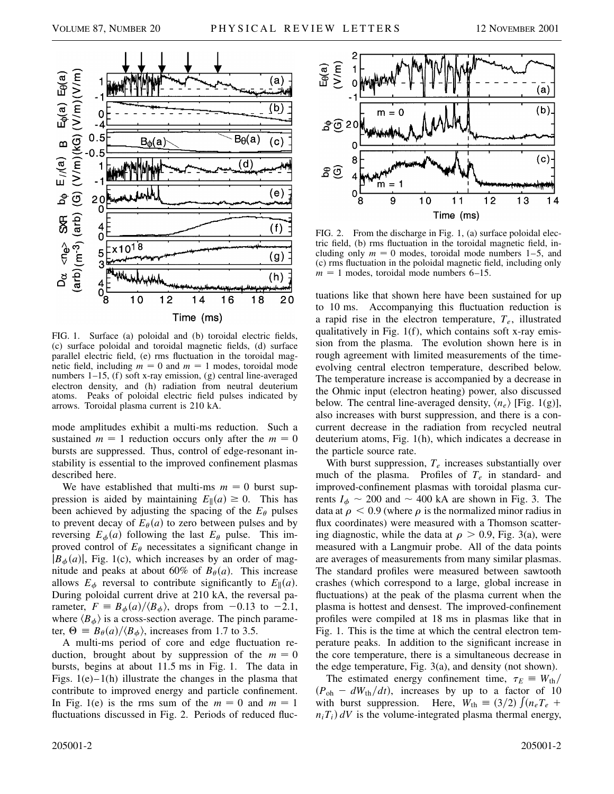

FIG. 1. Surface (a) poloidal and (b) toroidal electric fields, (c) surface poloidal and toroidal magnetic fields, (d) surface parallel electric field, (e) rms fluctuation in the toroidal magnetic field, including  $m = 0$  and  $m = 1$  modes, toroidal mode numbers 1–15, (f) soft x-ray emission, (g) central line-averaged electron density, and (h) radiation from neutral deuterium atoms. Peaks of poloidal electric field pulses indicated by arrows. Toroidal plasma current is 210 kA.

mode amplitudes exhibit a multi-ms reduction. Such a sustained  $m = 1$  reduction occurs only after the  $m = 0$ bursts are suppressed. Thus, control of edge-resonant instability is essential to the improved confinement plasmas described here.

We have established that multi-ms  $m = 0$  burst suppression is aided by maintaining  $E_{\parallel}(a) \ge 0$ . This has been achieved by adjusting the spacing of the  $E_{\theta}$  pulses to prevent decay of  $E_{\theta}(a)$  to zero between pulses and by reversing  $E_{\phi}(a)$  following the last  $E_{\theta}$  pulse. This improved control of  $E_{\theta}$  necessitates a significant change in  $|B_{\phi}(a)|$ , Fig. 1(c), which increases by an order of magnitude and peaks at about 60% of  $B_{\theta}(a)$ . This increase allows  $E_{\phi}$  reversal to contribute significantly to  $E_{\parallel}(a)$ . During poloidal current drive at 210 kA, the reversal parameter,  $F = B_{\phi}(a) / \langle B_{\phi} \rangle$ , drops from -0.13 to -2.1, where  $\langle B_{\phi} \rangle$  is a cross-section average. The pinch parameter,  $\Theta = B_{\theta}(a)/\langle B_{\phi} \rangle$ , increases from 1.7 to 3.5.

A multi-ms period of core and edge fluctuation reduction, brought about by suppression of the  $m = 0$ bursts, begins at about 11.5 ms in Fig. 1. The data in Figs.  $1(e) - 1(h)$  illustrate the changes in the plasma that contribute to improved energy and particle confinement. In Fig. 1(e) is the rms sum of the  $m = 0$  and  $m = 1$ fluctuations discussed in Fig. 2. Periods of reduced fluc-



FIG. 2. From the discharge in Fig. 1, (a) surface poloidal electric field, (b) rms fluctuation in the toroidal magnetic field, including only  $m = 0$  modes, toroidal mode numbers 1–5, and (c) rms fluctuation in the poloidal magnetic field, including only  $m = 1$  modes, toroidal mode numbers 6–15.

tuations like that shown here have been sustained for up to 10 ms. Accompanying this fluctuation reduction is a rapid rise in the electron temperature, *Te*, illustrated qualitatively in Fig. 1(f), which contains soft x-ray emission from the plasma. The evolution shown here is in rough agreement with limited measurements of the timeevolving central electron temperature, described below. The temperature increase is accompanied by a decrease in the Ohmic input (electron heating) power, also discussed below. The central line-averaged density,  $\langle n_e \rangle$  [Fig. 1(g)], also increases with burst suppression, and there is a concurrent decrease in the radiation from recycled neutral deuterium atoms, Fig. 1(h), which indicates a decrease in the particle source rate.

With burst suppression,  $T_e$  increases substantially over much of the plasma. Profiles of  $T_e$  in standard- and improved-confinement plasmas with toroidal plasma currents  $I_{\phi} \sim 200$  and  $\sim 400$  kA are shown in Fig. 3. The data at  $\rho < 0.9$  (where  $\rho$  is the normalized minor radius in flux coordinates) were measured with a Thomson scattering diagnostic, while the data at  $\rho > 0.9$ , Fig. 3(a), were measured with a Langmuir probe. All of the data points are averages of measurements from many similar plasmas. The standard profiles were measured between sawtooth crashes (which correspond to a large, global increase in fluctuations) at the peak of the plasma current when the plasma is hottest and densest. The improved-confinement profiles were compiled at 18 ms in plasmas like that in Fig. 1. This is the time at which the central electron temperature peaks. In addition to the significant increase in the core temperature, there is a simultaneous decrease in the edge temperature, Fig. 3(a), and density (not shown).

The estimated energy confinement time,  $\tau_E \equiv W_{th}/$  $(P_{\text{oh}} - dW_{\text{th}}/dt)$ , increases by up to a factor of 10 with burst suppression. Here,  $W_{\text{th}} \equiv (3/2) \int (n_e T_e +$  $n_i T_i$ )  $dV$  is the volume-integrated plasma thermal energy,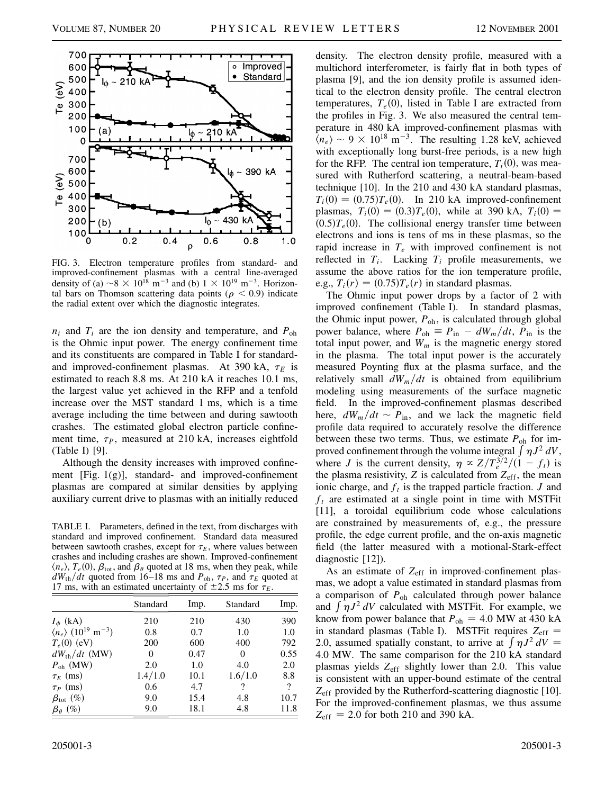

FIG. 3. Electron temperature profiles from standard- and improved-confinement plasmas with a central line-averaged density of (a)  $\sim 8 \times 10^{18}$  m<sup>-3</sup> and (b)  $1 \times 10^{19}$  m<sup>-3</sup>. Horizontal bars on Thomson scattering data points ( $\rho < 0.9$ ) indicate the radial extent over which the diagnostic integrates.

 $n_i$  and  $T_i$  are the ion density and temperature, and  $P_{\text{oh}}$ is the Ohmic input power. The energy confinement time and its constituents are compared in Table I for standardand improved-confinement plasmas. At 390 kA,  $\tau_E$  is estimated to reach 8.8 ms. At 210 kA it reaches 10.1 ms, the largest value yet achieved in the RFP and a tenfold increase over the MST standard 1 ms, which is a time average including the time between and during sawtooth crashes. The estimated global electron particle confinement time,  $\tau_P$ , measured at 210 kA, increases eightfold (Table I) [9].

Although the density increases with improved confinement [Fig. 1(g)], standard- and improved-confinement plasmas are compared at similar densities by applying auxiliary current drive to plasmas with an initially reduced

TABLE I. Parameters, defined in the text, from discharges with standard and improved confinement. Standard data measured between sawtooth crashes, except for  $\tau_E$ , where values between crashes and including crashes are shown. Improved-confinement  $\langle n_e \rangle$ ,  $T_e(0)$ ,  $\beta_{\text{tot}}$ , and  $\beta_{\theta}$  quoted at 18 ms, when they peak, while  $dW_{\text{th}}/dt$  quoted from 16–18 ms and  $P_{\text{oh}}$ ,  $\tau_P$ , and  $\tau_E$  quoted at 17 ms, with an estimated uncertainty of  $\pm 2.5$  ms for  $\tau_E$ .

|                                                           | Standard | Imp. | Standard | Imp.     |
|-----------------------------------------------------------|----------|------|----------|----------|
| $I_{\phi}$ (kA)                                           | 210      | 210  | 430      | 390      |
| $\langle n_e \rangle$ (10 <sup>19</sup> m <sup>-3</sup> ) | 0.8      | 0.7  | 1.0      | 1.0      |
| $T_e(0)$ (eV)                                             | 200      | 600  | 400      | 792      |
| $dW_{\text{th}}/dt$ (MW)                                  | 0        | 0.47 | $\theta$ | 0.55     |
| $P_{\text{oh}}$ (MW)                                      | 2.0      | 1.0  | 4.0      | 2.0      |
| $\tau_E$ (ms)                                             | 1.4/1.0  | 10.1 | 1.6/1.0  | 8.8      |
| $\tau_P$ (ms)                                             | 0.6      | 4.7  | ?        | $\gamma$ |
| $\beta_{\rm tot}$ (%)                                     | 9.0      | 15.4 | 4.8      | 10.7     |
| $\beta_{\theta}$ (%)                                      | 9.0      | 18.1 | 4.8      | 11.8     |

density. The electron density profile, measured with a multichord interferometer, is fairly flat in both types of plasma [9], and the ion density profile is assumed identical to the electron density profile. The central electron temperatures,  $T_e(0)$ , listed in Table I are extracted from the profiles in Fig. 3. We also measured the central temperature in 480 kA improved-confinement plasmas with  $\langle n_e \rangle \sim 9 \times 10^{18}$  m<sup>-3</sup>. The resulting 1.28 keV, achieved with exceptionally long burst-free periods, is a new high for the RFP. The central ion temperature,  $T_i(0)$ , was measured with Rutherford scattering, a neutral-beam-based technique [10]. In the 210 and 430 kA standard plasmas,  $T_i(0) = (0.75)T_e(0)$ . In 210 kA improved-confinement plasmas,  $T_i(0) = (0.3)T_e(0)$ , while at 390 kA,  $T_i(0) =$  $(0.5)T_e(0)$ . The collisional energy transfer time between electrons and ions is tens of ms in these plasmas, so the rapid increase in *Te* with improved confinement is not reflected in  $T_i$ . Lacking  $T_i$  profile measurements, we assume the above ratios for the ion temperature profile, e.g.,  $T_i(r) = (0.75)T_e(r)$  in standard plasmas.

The Ohmic input power drops by a factor of 2 with improved confinement (Table I). In standard plasmas, the Ohmic input power,  $P_{\text{oh}}$ , is calculated through global power balance, where  $P_{\text{oh}} \equiv P_{\text{in}} - dW_m/dt$ ,  $P_{\text{in}}$  is the total input power, and  $W_m$  is the magnetic energy stored in the plasma. The total input power is the accurately measured Poynting flux at the plasma surface, and the relatively small  $dW_m/dt$  is obtained from equilibrium modeling using measurements of the surface magnetic field. In the improved-confinement plasmas described here,  $dW_m/dt \sim P_{\text{in}}$ , and we lack the magnetic field profile data required to accurately resolve the difference between these two terms. Thus, we estimate  $P_{oh}$  for improved confinement through the volume integral  $\int \eta J^2 dV$ , where *J* is the current density,  $\eta \propto Z/T_e^{3/2}/(1-f_t)$  is the plasma resistivity,  $Z$  is calculated from  $Z_{\text{eff}}$ , the mean ionic charge, and  $f_t$  is the trapped particle fraction. *J* and  $f_t$  are estimated at a single point in time with MSTFit [11], a toroidal equilibrium code whose calculations are constrained by measurements of, e.g., the pressure profile, the edge current profile, and the on-axis magnetic field (the latter measured with a motional-Stark-effect diagnostic [12]).

As an estimate of Z<sub>eff</sub> in improved-confinement plasmas, we adopt a value estimated in standard plasmas from a comparison of *P*oh calculated through power balance a comparison of  $r_{\text{oh}}$  calculated unough power balance<br>and  $\int \eta J^2 dV$  calculated with MSTFit. For example, we know from power balance that  $P_{oh} = 4.0$  MW at 430 kA in standard plasmas (Table I). MSTFit requires  $Z_{\text{eff}} =$ In standard plasmas (Table 1). MSTPR requires  $Z_{eff} = 2.0$ , assumed spatially constant, to arrive at  $\int \eta J^2 dV =$ 4.0 MW. The same comparison for the 210 kA standard plasmas yields Z<sub>eff</sub> slightly lower than 2.0. This value is consistent with an upper-bound estimate of the central *Z*eff provided by the Rutherford-scattering diagnostic [10]. For the improved-confinement plasmas, we thus assume  $Z_{\text{eff}}$  = 2.0 for both 210 and 390 kA.